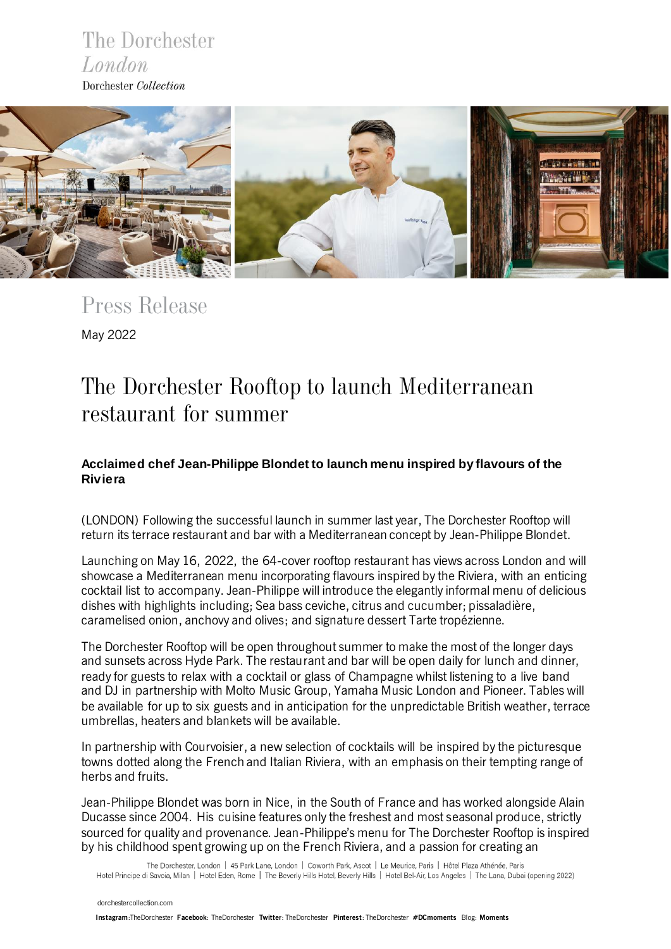



*Press Release* May 2022

# *The Dorchester Rooftop to launch Mediterranean restaurant for summer*

## **Acclaimed chef Jean-Philippe Blondet to launch menu inspired by flavours of the Riviera**

(LONDON) Following the successful launch in summer last year, The Dorchester Rooftop will return its terrace restaurant and bar with a Mediterranean concept by Jean-Philippe Blondet.

Launching on May 16, 2022, the 64-cover rooftop restaurant has views across London and will showcase a Mediterranean menu incorporating flavours inspired by the Riviera, with an enticing cocktail list to accompany. Jean-Philippe will introduce the elegantly informal menu of delicious dishes with highlights including; Sea bass ceviche, citrus and cucumber; pissaladière, caramelised onion, anchovy and olives; and signature dessert Tarte tropézienne.

The Dorchester Rooftop will be open throughout summer to make the most of the longer days and sunsets across Hyde Park. The restaurant and bar will be open daily for lunch and dinner, ready for guests to relax with a cocktail or glass of Champagne whilst listening to a live band and DJ in partnership with Molto Music Group, Yamaha Music London and Pioneer. Tables will be available for up to six guests and in anticipation for the unpredictable British weather, terrace umbrellas, heaters and blankets will be available.

In partnership with Courvoisier, a new selection of cocktails will be inspired by the picturesque towns dotted along the French and Italian Riviera, with an emphasis on their tempting range of herbs and fruits.

Jean-Philippe Blondet was born in Nice, in the South of France and has worked alongside Alain Ducasse since 2004. His cuisine features only the freshest and most seasonal produce, strictly sourced for quality and provenance. Jean-Philippe's menu for The Dorchester Rooftop is inspired by his childhood spent growing up on the French Riviera, and a passion for creating an

The Dorchester, London | 45 Park Lane, London | Coworth Park, Ascot | Le Meurice, Paris | Hôtel Plaza Athénée, Paris Hotel Principe di Savoia, Milan | Hotel Eden, Rome | The Beverly Hills Hotel, Beverly Hills | Hotel Bel-Air, Los Angeles | The Lana, Dubai (opening 2022)

 [dorchestercollection.com](https://www.instagram.com/thedorchester/)